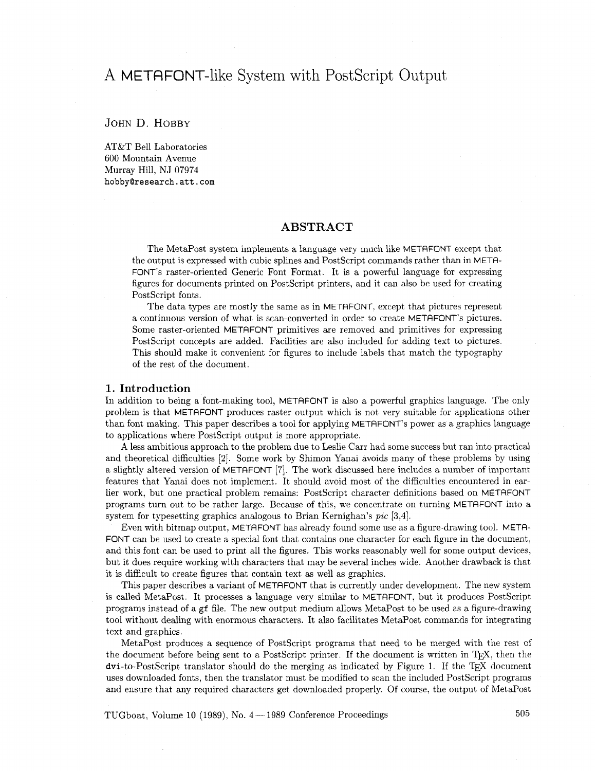# A METAFONT-like System with PostScript Output

JOHN D. HOBBY

AT&T Bell Laboratories 600 Mountain Avenue Murray Hill, NJ 07974 **hobbyQresearch.att.com** 

## **ABSTRACT**

The MetaPost system implements a language very much like METAFONT except that the output is expressed with cubic splines and PostScript commands rather than in METR-FONT'S raster-oriented Generic Font Format. It is a powerful language for expressing figures for documents printed on Postscript printers, and it can also be used for creating PostScript fonts.

The data types are mostly the same as in METRFONT. except that pictures represent a continuous version of what is scan-converted in order to create METAFONT's pictures. Some raster-oriented METAFONT primitives are removed and primitives for expressing PostScript concepts are added. Facilities are also included for adding text to pictures. This should make it convenient for figures to include labels that match the typography of the rest of the document.

### **1. Introduction**

In addition to being a font-making tool, METAFONT is also a powerful graphics language. The only problem is that METAFONT produces raster output which is not very suitable for applications other than font making. This paper describes a tool for applying METAFONT's power as a graphics language to applications where PostScript output is more appropriate.

**A** less ambitious approach to the problem due to Leslie Carr had some success but ran into practical and theoretical difficulties **[2].** Some work by Shimon Yanai avoids many of these problems by using a slightly altered version of METAFONT [7]. The work discussed here includes a number of important features that Yanai does not implement. It should avoid most of the difficulties encountered in earlier work, but one practical problem remains: PostScript character definitions based on METRFONT programs turn out to be rather large. Because of this, we concentrate on turning METAFONT into a system for typesetting graphics analogous to Brian Kernighan's *pic* [3,4].

Even with bitmap output, METAFONT has already found some use as a figure-drawing tool. META-FONT can be used to create a special font that contains one character for each figure in the document, and this font can be used to print all the figures. This works reasonably well for some output devices, but it does require working with characters that may be several inches wide. Another drawback is that it is difficult to create figures that contain text as well as graphics.

This paper describes a variant of METAFONT that is currently under development. The new system is called MetaPost. It processes a language very similar to METAFONT, but it produces PostScript programs instead of a **gf** file. The new output medium allows MetaPost to be used as a figure-drawing tool without dealing with enormous characters. It also facilitates MetaPost commands for integrating text and graphics.

MetaPost produces a sequence of PostScript programs that need to be merged with the rest of the document before being sent to a PostScript printer. If the document is written in T<sub>F</sub>X, then the  $dv$  -to-PostScript translator should do the merging as indicated by Figure 1. If the T<sub>F</sub>X document uses downloaded fonts, then the translator must be modified to scan the included PostScript programs and ensure that any required characters get downloaded properly. Of course, the output of MetaPost

TUGboat, Volume 10 (1989), No.  $4 - 1989$  Conference Proceedings  $505$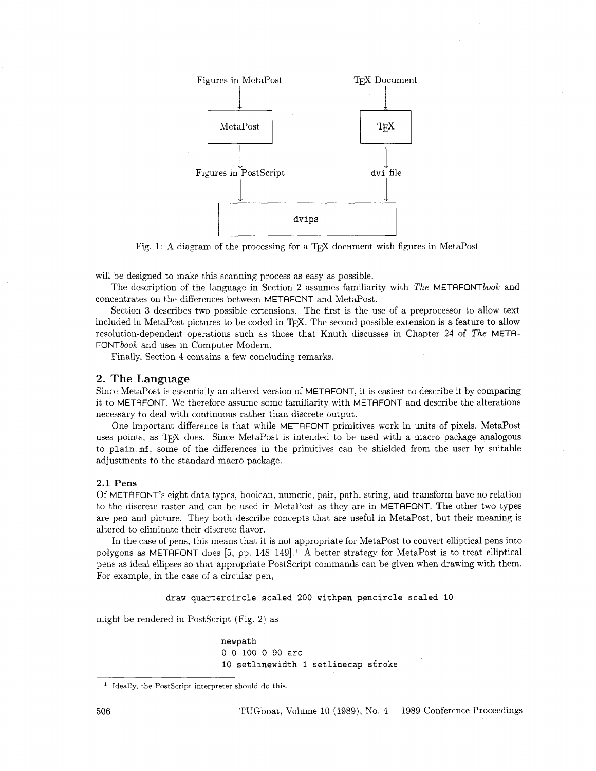

Fig. 1: A diagram of the processing for a TEX document with figures in MetaPost

will be designed to make this scanning process as easy as possible.

The description of the language in Section 2 assumes familiarity with The METAFONTbook and concentrates on the differences between METAFONT and MetaPost.

Section **3** describes two possible extensions. The first is the use of a preprocessor to allow text included in MetaPost pictures to be coded in T<sub>F</sub>X. The second possible extension is a feature to allow resolution-dependent operations such as those that Knuth discusses in Chapter 24 of The METR-FONTbook and uses in Computer Modern.

Finally. Section 4 contains a few concluding remarks.

#### 2. The **Language**

Since MetaPost is essentially an altered version of METAFONT, it is easiest to describe it by comparing it to METAFONT. We therefore assume some familiarity with METAFONT and describe the alterations necessary to deal with continuous rather than discrete output.

One important difference is that while METAFONT primitives work in units of pixels, MetaPost uses points, as T<sub>R</sub>X does. Since MetaPost is intended to be used with a macro package analogous to **plain.mf,** some of the differences in the primitives can be shielded from the user by suitable adjustments to the standard macro package.

## 2.1 Pens

Of METAFONT's eight data types, boolean, numeric, pair, path, string, and transform have no relation to the discrete raster and can be used in MetaPost as they are in METAFONT. The other two types are pen and picture. They both describe concepts that are useful in MetaPost, but their meaning is altered to eliminate their discrete flavor.

In the case of pens, this means that it is not appropriate for MetaPost to convert elliptical pens into polygons as METAFONT does [5, pp. 148-1491.l **A** better strategy for MetaPost is to treat elliptical pens as ideal ellipses so that appropriate PostScript commands can be given when drawing with them. For example, in the case of a circular pen.

**draw quartercircle scaled** 200 **withpen pencircle scaled** 10

might be rendered in PostScript (Fig. 2) as

**newpath**  0 0 100 0 90 **arc**  10 **setlinewidth** 1 **setlinecap stroke** 

<sup>&</sup>lt;sup>1</sup> Ideally, the PostScript interpreter should do this.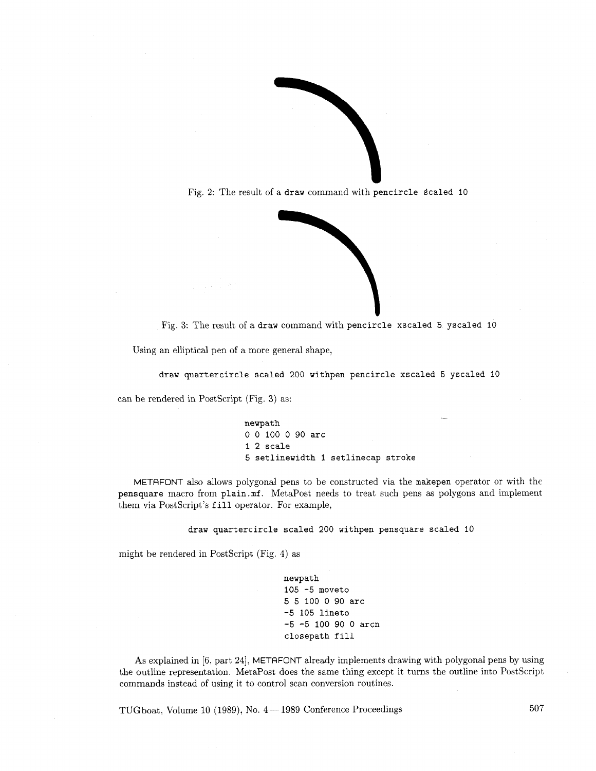

Fig. 2: The result of a draw command with pencircle scaled 10



Fig. **3:** The result of a draw command with pencircle xscaled 5 yscaled 10

Using an elliptical pen of a more general shape,

draw quartercircle scaled 200 withpen pencircle xscaled 5 yscaled 10

can be rendered in Postscript (Fig. **3)** as:

newpath 0 0 100 0 90 arc 1 **2** scale **5** setlinewidth I setlinecap stroke

METAFONT also allows polygonal pens to be constructed via the makepen operator or with the pensquare macro from plain.mf. MetaPost needs to treat such pens as polygons and implement them via PostScript's fill operator. For example,

draw quartercircle scaled 200 withpen pensquare scaled 10

might be rendered in PostScript (Fig. 4) as

newpath 105 -5 moveto **5** 5 100 **0** 90 arc **-5** 105 lineto **-5 -5** 100 90 0 arcn closepath fill

As explained in [6, part **241,** METAFONT already implements drawing with polygonal pens by using the outline representation. MetaPost does the same thing except it turns the outline into Postscript commands instead of using it to control scan conversion routines.

TUGboat, Volume 10 (1989), No.  $4-1989$  Conference Proceedings  $507$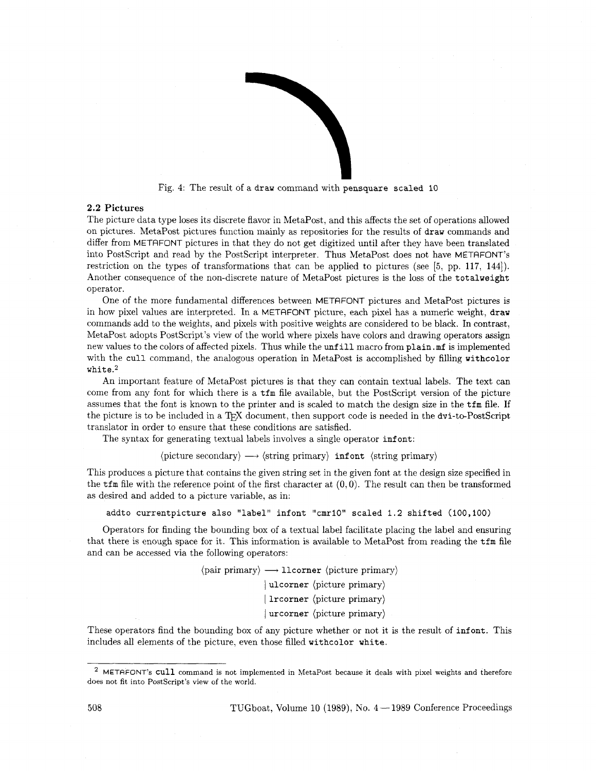

Fig. 4: The result of a **draw** command with **pensquare scaled 10** 

## **2.2 Pictures**

The picture data type loses its discrete flavor in MetaPost, and this affects the set of operations allowed on pictures. MetaPost pictures function mainly as repositories for the results of **draw** commands and differ from METAFONT pictures in that they do not get digitized until after they have been translated into Postscript and read by the Postscript interpreter. Thus MetaPost does not have METAFONT's restriction on the types of transformations that can be applied to pictures (see *[5,* pp. 117, 1441). Another consequence of the non-discrete nature of MetaPost pictures is the loss of the **totalweight**  operator.

One of the more fundamental differences between METAFONT pictures and MetaPost pictures is in how pixel values are interpreted. In a METRFONT picture, each pixel has a numeric weight, **draw**  commands add to the weights, and pixels with positive weights are considered to be black. In contrast, MetaPost adopts PostScript's view of the world where pixels have colors and drawing operators assign new values to the colors of affected pixels. Thus while the **unf ill** macro from **plain** .mf is implemented with the **cull** command. the analogous operation in MetaPost is accomplished by filling **withcolor white.2** 

An important feature of MetaPost pictures is that they can contain textual labels. The text can come from any font for which there is a **tfm** file available, but the Postscript version of the picture assumes that the font is known to the printer and is scaled to match the design size in the **tfm** file. If the picture is to be included in a T<sub>F</sub>X document, then support code is needed in the  $dv$ -to-PostScript translator in order to ensure that these conditions are satisfied.

The syntax for generating textual labels involves a single operator *infont*:

 $\langle$ picture secondary $\rangle \longrightarrow \langle$ string primary $\rangle$  **inf ont**  $\langle$  string primary $\rangle$ 

This produces a picture that contains the given string set in the given font at the design size specified in the **t**fm file with the reference point of the first character at  $(0,0)$ . The result can then be transformed as desired and added to a picture variable, as in:

**addto currentpicture also "label" infont "cmrlO" scaled 1.2 shifted (100,100)** 

Operators for finding the bounding box of a textual label facilitate placing the label and ensuring that there is enough space for it. This information is available to MetaPost from reading the  $\text{tfm}$  file and can be accessed via the following operators:<br>  $\langle \text{pair primary} \rangle \longrightarrow \text{llcorner (picture primary)} \rangle$ and can be accessed via the following operators:

<sup>1</sup>**ulcorner** (picture primary) I **lrcorner** (picture primary) I urcorner *(picture primary)* 

These operators find the bounding box of any picture whether or not it is the result of **infont**. This includes all elements of the picture, even those filled **withcolor white.** 

METAFONT's **cull** command is not implemented in MetaPost because it deals with pixel weights and therefore does not fit into PostScript's view of the world.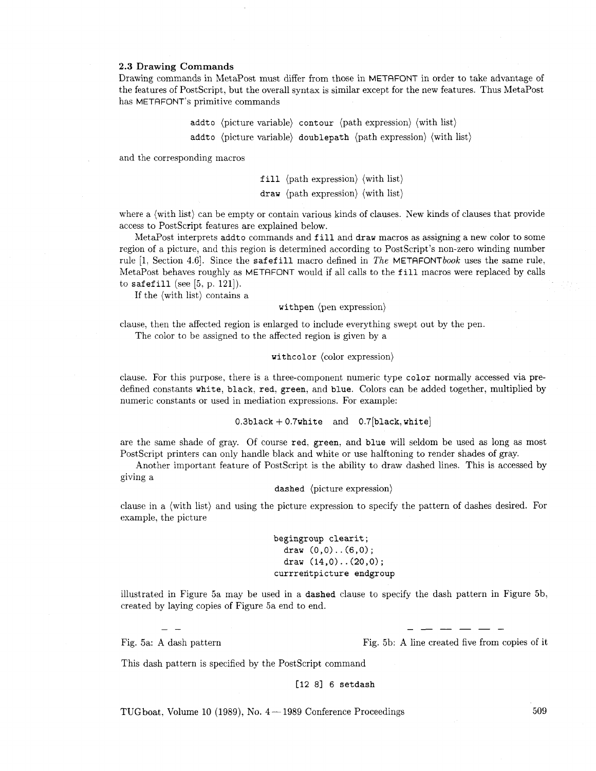#### **2.3 Drawing Commands**

Drawing commands in MetaPost must differ from those in METAFONT in order to take advantage of the features of PostScript, but the overall syntax is similar except for the new features. Thus MetaPost has METAFONT'S primitive commands

> addto (picture variable) contour (path expression) (with list) addto (picture variable) doublepath (path expression) (with list)

and the corresponding macros

fill (path expression) (with list)

draw (path expression) (with list)

where a (with list) can be empty or contain various kinds of clauses. New kinds of clauses that provide access to PostScript features are explained below.

MetaPost interprets addto commands and fill and draw macros as assigning a new color to some region of a picture, and this region is determined according to PostScript's non-zero winding number rule [1, Section 4.6]. Since the safefill macro defined in The METAFONTbook uses the same rule, MetaPost behaves roughly as METAFONT would if all calls to the fill macros were replaced by calls to safefill (see [5, p. 121]).

If the (with list) contains a

withpen (pen expression)

clause, then the affected region is enlarged to include everything swept out by the pen. The color to be assigned to the affected region is given by a

#### withcolor (color expression)

clause. For this purpose, there is a three-component numeric type color normally accessed via predefined constants white, black, red. green, and blue. Colors can be added together, multiplied by numeric constants or used in mediation expressions. For example:

 $0.3$ black + 0.7white and 0.7[black, white]

are the same shade of gray. Of course red, green, and blue will seldom be used **as** long as most PostScript printers can only handle black and white or use halftoning to render shades of gray.

Another important feature of PostScript is the ability to draw dashed lines. This is accessed by giving a

dashed (picture expression)

clause in a (with list) and using the picture expression to specify the pattern of dashes desired. For example, the picture

> begingroup clearit ; draw (0,0)..(6,0); draw  $(14,0)$ . .  $(20,0)$ ; currrentpicture endgroup

illustrated in Figure 5a may be used in a dashed clause to specify the dash pattern in Figure 5b, created by laying copies of Figure 5a end to end.

 $-$ 

Fig. 5a: A dash pattern Fig. 5b: A line created five from copies of it

This dash pattern is specified by the PostScript command

**[I2** 81 6 setdash

TUGboat, Volume 10 (1989), No.  $4-1989$  Conference Proceedings

509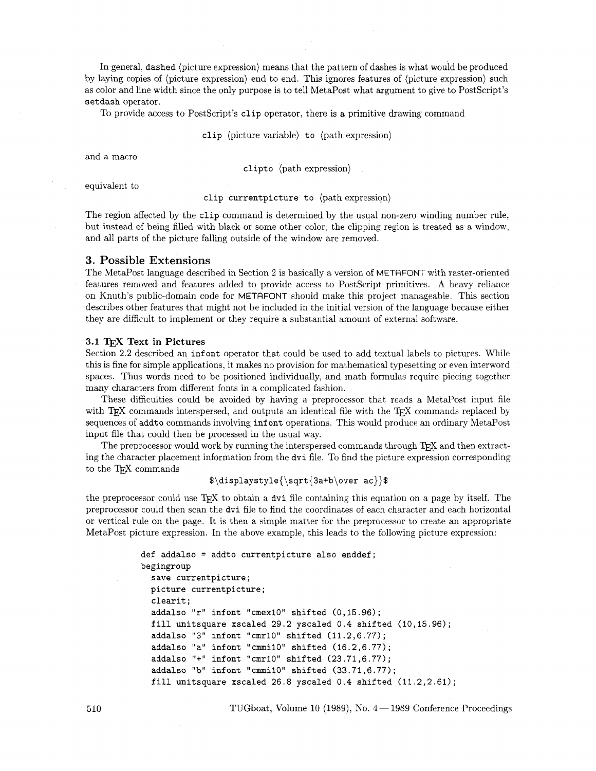In general, **dashed** (picture expression) means that the pattern of dashes is what would be produced by laying copies of (picture expression) end to end. This ignores features of (picture expression) such as color and line width since the only purpose is to tell MetaPost what argument to give to Postscript's **setdash** operator.

To provide access to Postscript's **clip** operator, there is a primitive drawing command

**clip** (picture variable) **to** (path expression)

and a macro

**clipto** (path expression)

equivalent to

#### **clip currentpicture to** (path expression)

The region affected by the **clip** command is determined by the usual non-zero winding number rule: but instead of being filled with black or some other color, the clipping region is treated as a window. and all parts of the picture falling outside of the window are removed.

## 3. Possible Extensions

The MetaPost language described in Section 2 is basically a version of METRFONT with raster-oriented features removed and features added to provide access to Postscript primitives. **A** heavy reliance on Knuth's public-domain code for METAFONT should make this project manageable. This section describes other features that might not be included in the initial version of the language because either they are difficult to implement or they require a substantial amount of external software.

#### **3.1** TEX **Text** in **Pictures**

Section 2.2 described an *infont* operator that could be used to add textual labels to pictures. While this is fine for simple applications, it makes no provision for mathematical typesetting or even interword spaces. Thus words need to be positioned individually, and math formulas require piecing together many characters from different fonts in a complicated fashion.

These difficulties could be avoided by having a preprocessor that reads a MetaPost input file with T<sub>EX</sub> commands interspersed, and outputs an identical file with the T<sub>EX</sub> commands replaced by sequences of **addto** commands involving **inf ont** operations. This would produce an ordinary MetaPost input file that could then be processed in the usual way.

The preprocessor would work by running the interspersed commands through TFX and then extracting the character placement information from the **dvi** file. To find the picture expression corresponding to the TFX commands

## **\$\displaystyle{\sqrt{3a+b\over ac})\$**

the preprocessor could use T<sub>E</sub>X to obtain a dvi file containing this equation on a page by itself. The preprocessor could then scan the **dvi** file to find the coordinates of each character and each horizontal or vertical rule on the page. It is then a simple matter for the preprocessor to create an appropriate MetaPost picture expression. In the above example, this leads to the following picture expression:

```
def addalso = addto currentpicture also enddef; 
begingroup 
  save currentpicture; 
  picture currentpicture; 
  clearit ; 
  addalso "r" infont "cmex1O" shifted (0,15.96); 
  fill unitsquare xscaled 29.2 yscaled 0.4 shifted (10,15.96); 
  addalso "3" infont "cmrlO" shifted (11.2,6.77); 
  addalso "a" infont "cmmi10" shifted (16.2, 6.77);
  addalso "+" infont "cmr10" shifted (23.71,6.77);
  addalso "b" infont "cmmil0" shifted (33.71,6.77); 
  fill unitsquare xscaled 26.8 yscaled 0.4 shifted (11.2,2.61);
```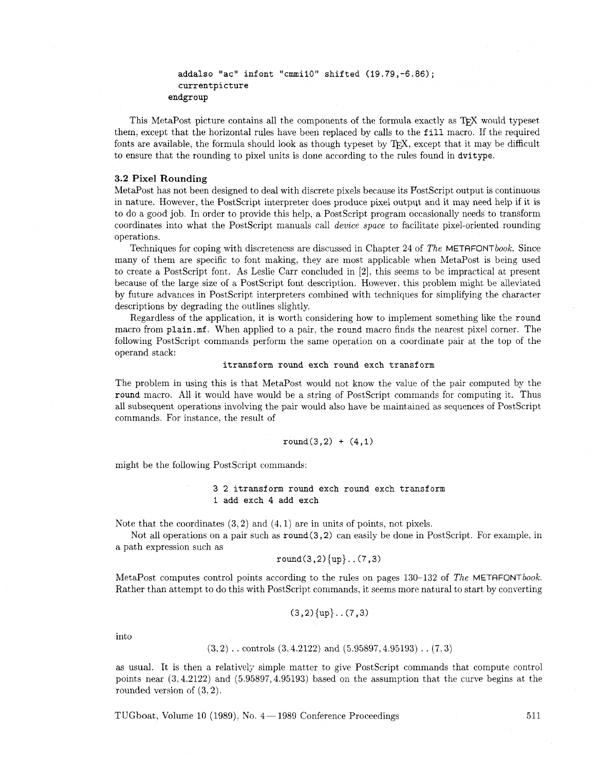```
addalso "ac" infont "cmmil0" shifted (19.79,-6.86); 
  currentpicture 
endgroup
```
This MetaPost picture contains all the components of the formula exactly as TEX would typeset them, except that the horizontal rules have been replaced by calls to the **fill** macro. If the required fonts are available, the formula should look as though typeset by T<sub>F</sub>X, except that it may be difficult to ensure that the rounding to pixel units is done according to the rules found in **dvitype.** 

## **3.2 Pixel Rounding**

MetaPost has not been designed to deal with discrete pixels because its Postscript output is continuous in nature. However. the PostScript interpreter does produce pixel output and it may need help if it is to do a good job. In order to provide this help, a PostScript program occasionally needs to transform coordinates into what the PostScript manuals call *devzce space* to facilitate pixel-oriented rounding operations.

Techniques for coping with discreteness are discussed in Chapter 24 of *The* METAFONTbook. Since many of them are specific to font making, they are most applicable when MetaPost is being used to create a PostScript font. As Leslie Carr concluded in [2], this seems to be impractical at present because of the large size of a PostScript font description. However, this problem might be alleviated by future advances in PostScript interpreters combined with techniques for simplifying the character descriptions by degrading the outlines slightly.

Regardless of the application, it is worth considering how to implement something like the **round**  macro from **plain.mf.** When applied to a pair, the **round** macro finds the nearest pixel corner. The following PostScript commands perform the same operation on a coordinate pair at the top of the operand stack:

#### **itransform round exch round exch transform**

The problem in using this is that MetaPost would not know the value of the pair computed by the **round** macro. All it would have would be a string of PostScript commands for computing it. Thus all subsequent operations involving the pair would also have be maintained as sequences of Postscript commands. For instance. the result of

round
$$
(3,2) + (4,1)
$$

might be the following PostScript commands:

## **3 2 itransform round exch round exch transform 1 add exch 4 add exch**

Note that the coordinates  $(3,2)$  and  $(4,1)$  are in units of points, not pixels.

Not all operations on a pair such as **round(3,2)** can easily be done in PostScript. For example, in a path expression such as

$$
\texttt{round}(3,2)\{\texttt{up}\}\dots(7,3)
$$

MetaPost computes control points according to the rules on pages 130-132 of *The* METAFONTbook. Rather than attempt to do this with PostScript commands, it seems more natural to start by converting

$$
(3,2)\{up\} \dots (7,3)
$$

into

$$
(3, 2)
$$
 . controls  $(3, 4.2122)$  and  $(5.95897, 4.95193)$  .  $(7, 3)$ 

as usual. It is then a relatively simple matter to give Postscript commands that compute control points near (3,4.2122) and (5.95897,4.95193) based on the assumption that the curve begins at the rounded version of (3,2).

TUGboat, Volume 10 (1989), No.  $4-1989$  Conference Proceedings  $511$